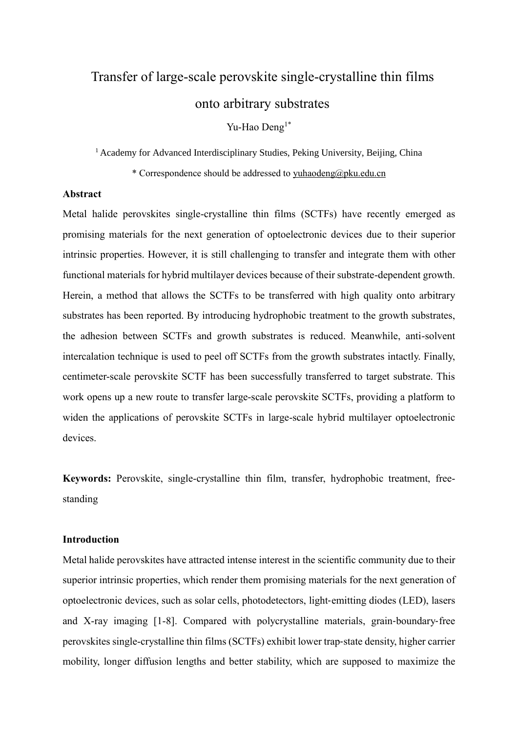# Transfer of large-scale perovskite single-crystalline thin films onto arbitrary substrates

Yu-Hao Deng<sup>1\*</sup>

<sup>1</sup> Academy for Advanced Interdisciplinary Studies, Peking University, Beijing, China

\* Correspondence should be addressed to [yuhaodeng@pku.edu.cn](mailto:yuhaodeng@pku.edu.cn)

## **Abstract**

Metal halide perovskites single-crystalline thin films (SCTFs) have recently emerged as promising materials for the next generation of optoelectronic devices due to their superior intrinsic properties. However, it is still challenging to transfer and integrate them with other functional materials for hybrid multilayer devices because of their substrate-dependent growth. Herein, a method that allows the SCTFs to be transferred with high quality onto arbitrary substrates has been reported. By introducing hydrophobic treatment to the growth substrates, the adhesion between SCTFs and growth substrates is reduced. Meanwhile, anti-solvent intercalation technique is used to peel off SCTFs from the growth substrates intactly. Finally, centimeter-scale perovskite SCTF has been successfully transferred to target substrate. This work opens up a new route to transfer large-scale perovskite SCTFs, providing a platform to widen the applications of perovskite SCTFs in large-scale hybrid multilayer optoelectronic devices.

**Keywords:** Perovskite, single-crystalline thin film, transfer, hydrophobic treatment, freestanding

## **Introduction**

Metal halide perovskites have attracted intense interest in the scientific community due to their superior intrinsic properties, which render them promising materials for the next generation of optoelectronic devices, such as solar cells, photodetectors, light‐emitting diodes (LED), lasers and X-ray imaging [1-8]. Compared with polycrystalline materials, grain‐boundary‐free perovskites single-crystalline thin films (SCTFs) exhibit lower trap‐state density, higher carrier mobility, longer diffusion lengths and better stability, which are supposed to maximize the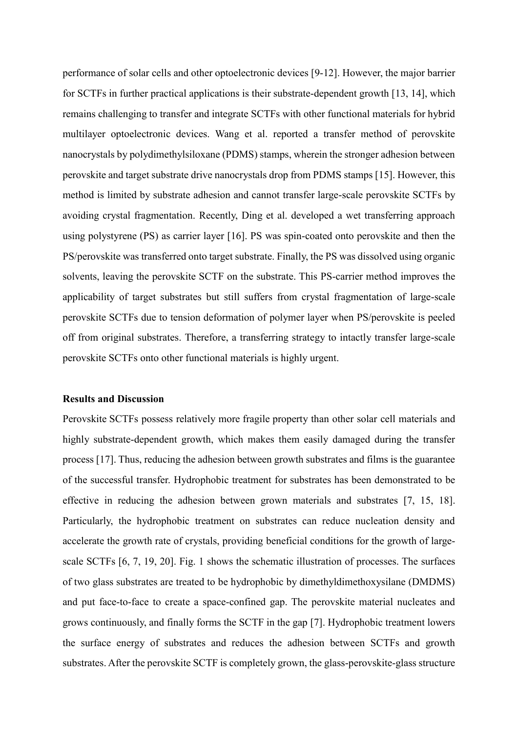performance of solar cells and other optoelectronic devices [9-12]. However, the major barrier for SCTFs in further practical applications is their substrate-dependent growth [13, 14], which remains challenging to transfer and integrate SCTFs with other functional materials for hybrid multilayer optoelectronic devices. Wang et al. reported a transfer method of perovskite nanocrystals by polydimethylsiloxane (PDMS) stamps, wherein the stronger adhesion between perovskite and target substrate drive nanocrystals drop from PDMS stamps [15]. However, this method is limited by substrate adhesion and cannot transfer large-scale perovskite SCTFs by avoiding crystal fragmentation. Recently, Ding et al. developed a wet transferring approach using polystyrene (PS) as carrier layer [16]. PS was spin-coated onto perovskite and then the PS/perovskite was transferred onto target substrate. Finally, the PS was dissolved using organic solvents, leaving the perovskite SCTF on the substrate. This PS-carrier method improves the applicability of target substrates but still suffers from crystal fragmentation of large-scale perovskite SCTFs due to tension deformation of polymer layer when PS/perovskite is peeled off from original substrates. Therefore, a transferring strategy to intactly transfer large-scale perovskite SCTFs onto other functional materials is highly urgent.

## **Results and Discussion**

Perovskite SCTFs possess relatively more fragile property than other solar cell materials and highly substrate-dependent growth, which makes them easily damaged during the transfer process [17]. Thus, reducing the adhesion between growth substrates and films is the guarantee of the successful transfer. Hydrophobic treatment for substrates has been demonstrated to be effective in reducing the adhesion between grown materials and substrates [7, 15, 18]. Particularly, the hydrophobic treatment on substrates can reduce nucleation density and accelerate the growth rate of crystals, providing beneficial conditions for the growth of largescale SCTFs [6, 7, 19, 20]. Fig. 1 shows the schematic illustration of processes. The surfaces of two glass substrates are treated to be hydrophobic by dimethyldimethoxysilane (DMDMS) and put face-to-face to create a space-confined gap. The perovskite material nucleates and grows continuously, and finally forms the SCTF in the gap [7]. Hydrophobic treatment lowers the surface energy of substrates and reduces the adhesion between SCTFs and growth substrates. After the perovskite SCTF is completely grown, the glass-perovskite-glass structure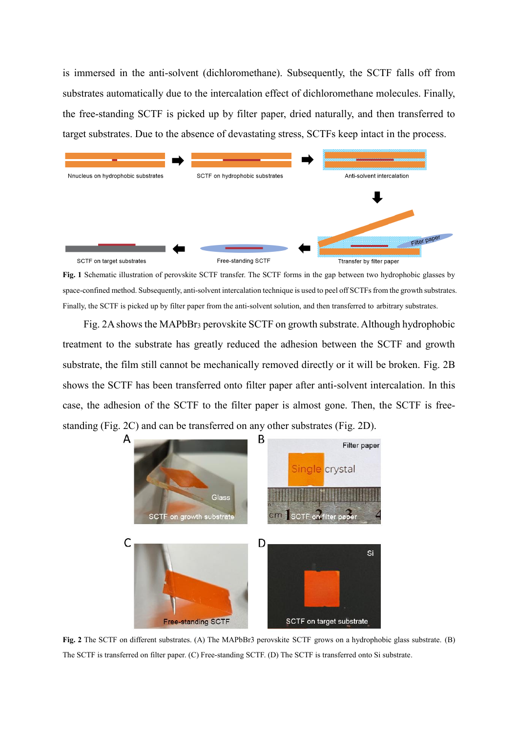is immersed in the anti-solvent (dichloromethane). Subsequently, the SCTF falls off from substrates automatically due to the intercalation effect of dichloromethane molecules. Finally, the free-standing SCTF is picked up by filter paper, dried naturally, and then transferred to target substrates. Due to the absence of devastating stress, SCTFs keep intact in the process.



**Fig. 1** Schematic illustration of perovskite SCTF transfer. The SCTF forms in the gap between two hydrophobic glasses by space-confined method. Subsequently, anti-solvent intercalation technique is used to peel off SCTFs from the growth substrates. Finally, the SCTF is picked up by filter paper from the anti-solvent solution, and then transferred to arbitrary substrates.

Fig. 2A shows the MAPbBr<sup>3</sup> perovskite SCTF on growth substrate. Although hydrophobic treatment to the substrate has greatly reduced the adhesion between the SCTF and growth substrate, the film still cannot be mechanically removed directly or it will be broken. Fig. 2B shows the SCTF has been transferred onto filter paper after anti-solvent intercalation. In this case, the adhesion of the SCTF to the filter paper is almost gone. Then, the SCTF is freestanding (Fig. 2C) and can be transferred on any other substrates (Fig. 2D).



**Fig. 2** The SCTF on different substrates. (A) The MAPbBr3 perovskite SCTF grows on a hydrophobic glass substrate. (B) The SCTF is transferred on filter paper. (C) Free-standing SCTF. (D) The SCTF is transferred onto Si substrate.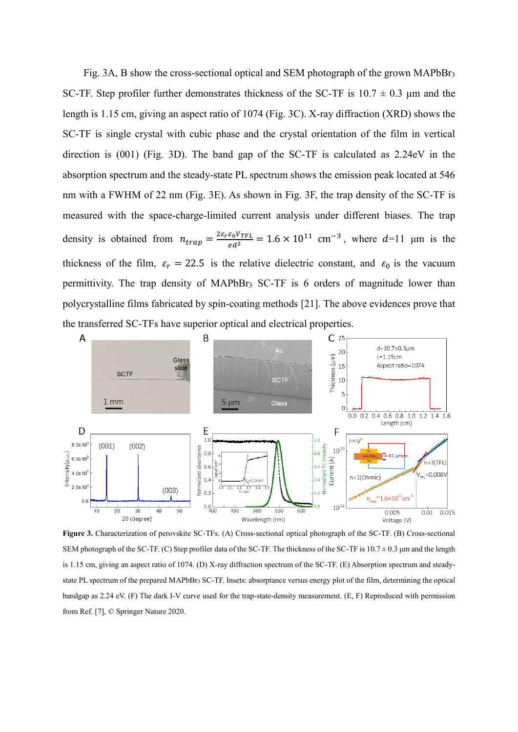Fig. 3A, B show the cross-sectional optical and SEM photograph of the grown MAPbBr<sup>3</sup> SC-TF. Step profiler further demonstrates thickness of the SC-TF is  $10.7 \pm 0.3$  µm and the length is 1.15 cm, giving an aspect ratio of 1074 (Fig. 3C). X-ray diffraction (XRD) shows the SC-TF is single crystal with cubic phase and the crystal orientation of the film in vertical direction is (001) (Fig. 3D). The band gap of the SC-TF is calculated as 2.24eV in the absorption spectrum and the steady-state PL spectrum shows the emission peak located at 546 nm with a FWHM of 22 nm (Fig. 3E). As shown in Fig. 3F, the trap density of the SC-TF is measured with the space-charge-limited current analysis under different biases. The trap density is obtained from  $n_{trap} = \frac{2\varepsilon_r \varepsilon_0 V_{TFL}}{ed^2} = 1.6 \times 10^{11} \text{ cm}^{-3}$ , where  $d=11$  µm is the thickness of the film,  $\varepsilon_r = 22.5$  is the relative dielectric constant, and  $\varepsilon_0$  is the vacuum permittivity. The trap density of MAPbBr<sup>3</sup> SC-TF is 6 orders of magnitude lower than polycrystalline films fabricated by spin-coating methods [21]. The above evidences prove that the transferred SC-TFs have superior optical and electrical properties.



**Figure 3.** Characterization of perovskite SC-TFs. (A) Cross-sectional optical photograph of the SC-TF. (B) Cross-sectional SEM photograph of the SC-TF. (C) Step profiler data of the SC-TF. The thickness of the SC-TF is 10.7  $\pm$  0.3 µm and the length is 1.15 cm, giving an aspect ratio of 1074. (D) X-ray diffraction spectrum of the SC-TF. (E) Absorption spectrum and steadystate PL spectrum of the prepared MAPbBr<sub>3</sub> SC-TF. Insets: absorptance versus energy plot of the film, determining the optical bandgap as 2.24 eV. (F) The dark I-V curve used for the trap-state-density measurement. (E, F) Reproduced with permission from Ref. [7], © Springer Nature 2020.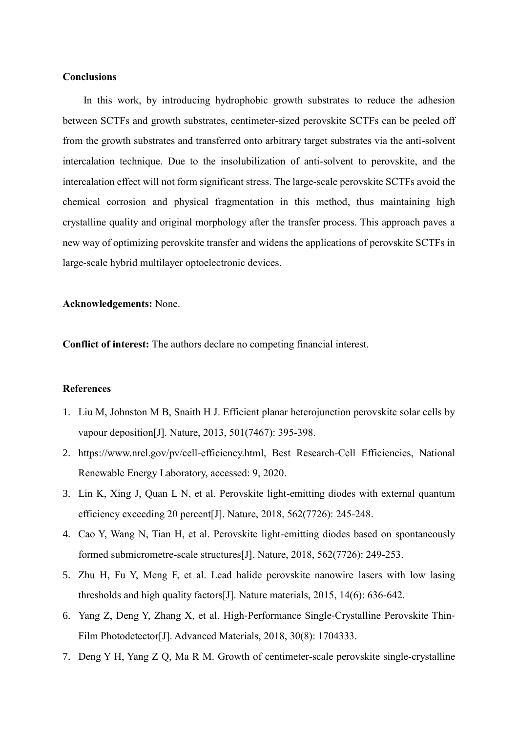## **Conclusions**

In this work, by introducing hydrophobic growth substrates to reduce the adhesion between SCTFs and growth substrates, centimeter-sized perovskite SCTFs can be peeled off from the growth substrates and transferred onto arbitrary target substrates via the anti-solvent intercalation technique. Due to the insolubilization of anti-solvent to perovskite, and the intercalation effect will not form significant stress. The large-scale perovskite SCTFs avoid the chemical corrosion and physical fragmentation in this method, thus maintaining high crystalline quality and original morphology after the transfer process. This approach paves a new way of optimizing perovskite transfer and widens the applications of perovskite SCTFs in large-scale hybrid multilayer optoelectronic devices.

**Acknowledgements:** None.

**Conflict of interest:** The authors declare no competing financial interest.

## **References**

- 1. Liu M, Johnston M B, Snaith H J. Efficient planar heterojunction perovskite solar cells by vapour deposition[J]. Nature, 2013, 501(7467): 395-398.
- 2. https://www.nrel.gov/pv/cell-efficiency.html, Best Research-Cell Efficiencies, National Renewable Energy Laboratory, accessed: 9, 2020.
- 3. Lin K, Xing J, Quan L N, et al. Perovskite light-emitting diodes with external quantum efficiency exceeding 20 percent[J]. Nature, 2018, 562(7726): 245-248.
- 4. Cao Y, Wang N, Tian H, et al. Perovskite light-emitting diodes based on spontaneously formed submicrometre-scale structures[J]. Nature, 2018, 562(7726): 249-253.
- 5. Zhu H, Fu Y, Meng F, et al. Lead halide perovskite nanowire lasers with low lasing thresholds and high quality factors[J]. Nature materials, 2015, 14(6): 636-642.
- 6. Yang Z, Deng Y, Zhang X, et al. High‐Performance Single‐Crystalline Perovskite Thin‐ Film Photodetector[J]. Advanced Materials, 2018, 30(8): 1704333.
- 7. Deng Y H, Yang Z Q, Ma R M. Growth of centimeter-scale perovskite single-crystalline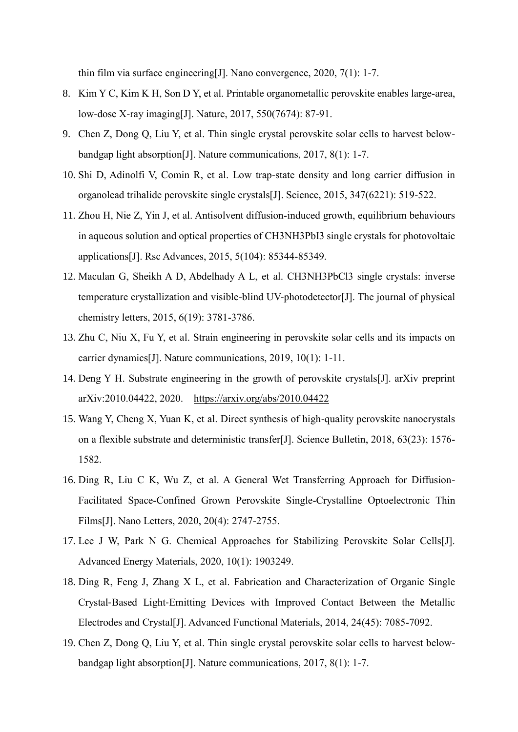thin film via surface engineering[J]. Nano convergence, 2020, 7(1): 1-7.

- 8. Kim Y C, Kim K H, Son D Y, et al. Printable organometallic perovskite enables large-area, low-dose X-ray imaging[J]. Nature, 2017, 550(7674): 87-91.
- 9. Chen Z, Dong Q, Liu Y, et al. Thin single crystal perovskite solar cells to harvest belowbandgap light absorption[J]. Nature communications, 2017, 8(1): 1-7.
- 10. Shi D, Adinolfi V, Comin R, et al. Low trap-state density and long carrier diffusion in organolead trihalide perovskite single crystals[J]. Science, 2015, 347(6221): 519-522.
- 11. Zhou H, Nie Z, Yin J, et al. Antisolvent diffusion-induced growth, equilibrium behaviours in aqueous solution and optical properties of CH3NH3PbI3 single crystals for photovoltaic applications[J]. Rsc Advances, 2015, 5(104): 85344-85349.
- 12. Maculan G, Sheikh A D, Abdelhady A L, et al. CH3NH3PbCl3 single crystals: inverse temperature crystallization and visible-blind UV-photodetector[J]. The journal of physical chemistry letters, 2015, 6(19): 3781-3786.
- 13. Zhu C, Niu X, Fu Y, et al. Strain engineering in perovskite solar cells and its impacts on carrier dynamics[J]. Nature communications, 2019, 10(1): 1-11.
- 14. Deng Y H. Substrate engineering in the growth of perovskite crystals[J]. arXiv preprint arXiv:2010.04422, 2020. <https://arxiv.org/abs/2010.04422>
- 15. Wang Y, Cheng X, Yuan K, et al. Direct synthesis of high-quality perovskite nanocrystals on a flexible substrate and deterministic transfer[J]. Science Bulletin, 2018, 63(23): 1576- 1582.
- 16. Ding R, Liu C K, Wu Z, et al. A General Wet Transferring Approach for Diffusion-Facilitated Space-Confined Grown Perovskite Single-Crystalline Optoelectronic Thin Films[J]. Nano Letters, 2020, 20(4): 2747-2755.
- 17. Lee J W, Park N G. Chemical Approaches for Stabilizing Perovskite Solar Cells[J]. Advanced Energy Materials, 2020, 10(1): 1903249.
- 18. Ding R, Feng J, Zhang X L, et al. Fabrication and Characterization of Organic Single Crystal‐Based Light‐Emitting Devices with Improved Contact Between the Metallic Electrodes and Crystal[J]. Advanced Functional Materials, 2014, 24(45): 7085-7092.
- 19. Chen Z, Dong Q, Liu Y, et al. Thin single crystal perovskite solar cells to harvest belowbandgap light absorption[J]. Nature communications, 2017, 8(1): 1-7.